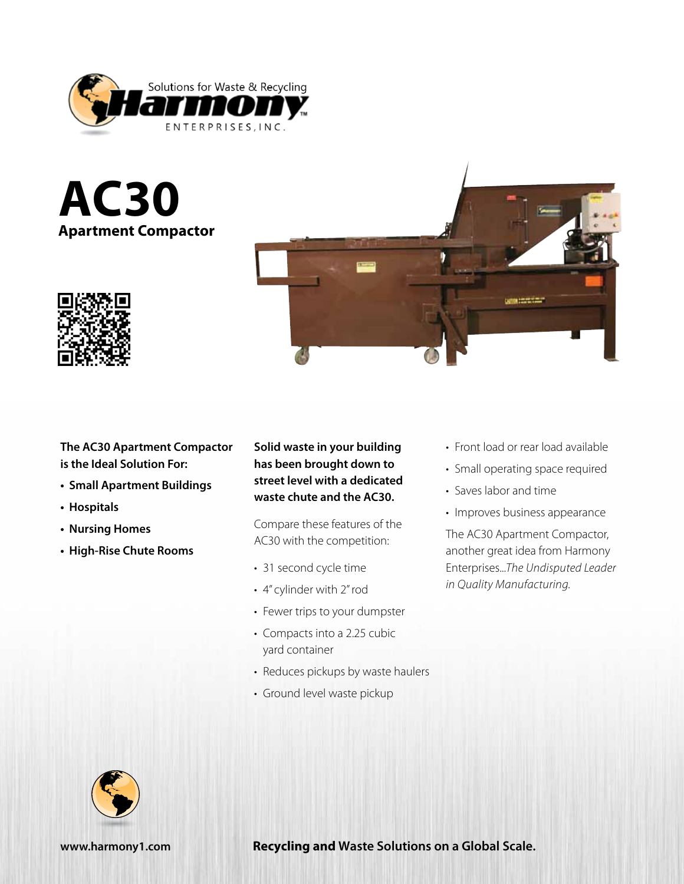

**AC30 Apartment Compactor**





**The AC30 Apartment Compactor is the Ideal Solution For:**

- **• Small Apartment Buildings**
- **• Hospitals**
- **• Nursing Homes**
- **• High-Rise Chute Rooms**

**Solid waste in your building has been brought down to street level with a dedicated waste chute and the AC30.**

Compare these features of the AC30 with the competition:

- 31 second cycle time
- 4" cylinder with 2" rod
- Fewer trips to your dumpster
- Compacts into a 2.25 cubic yard container
- Reduces pickups by waste haulers
- Ground level waste pickup
- Front load or rear load available
- Small operating space required
- Saves labor and time
- Improves business appearance

The AC30 Apartment Compactor, another great idea from Harmony Enterprises...*The Undisputed Leader in Quality Manufacturing.*



**www.harmony1.com Recycling and Waste Solutions on a Global Scale.**